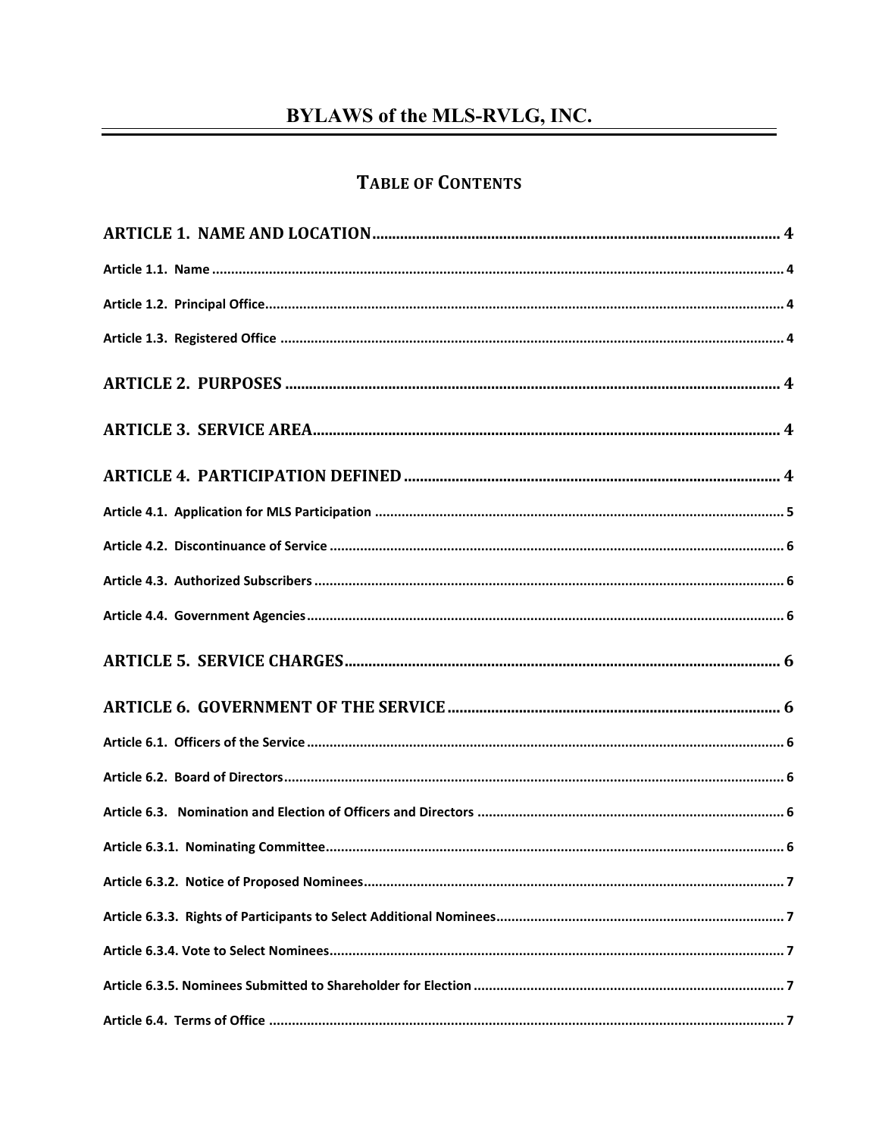# **BYLAWS of the MLS-RVLG, INC.**

## **TABLE OF CONTENTS**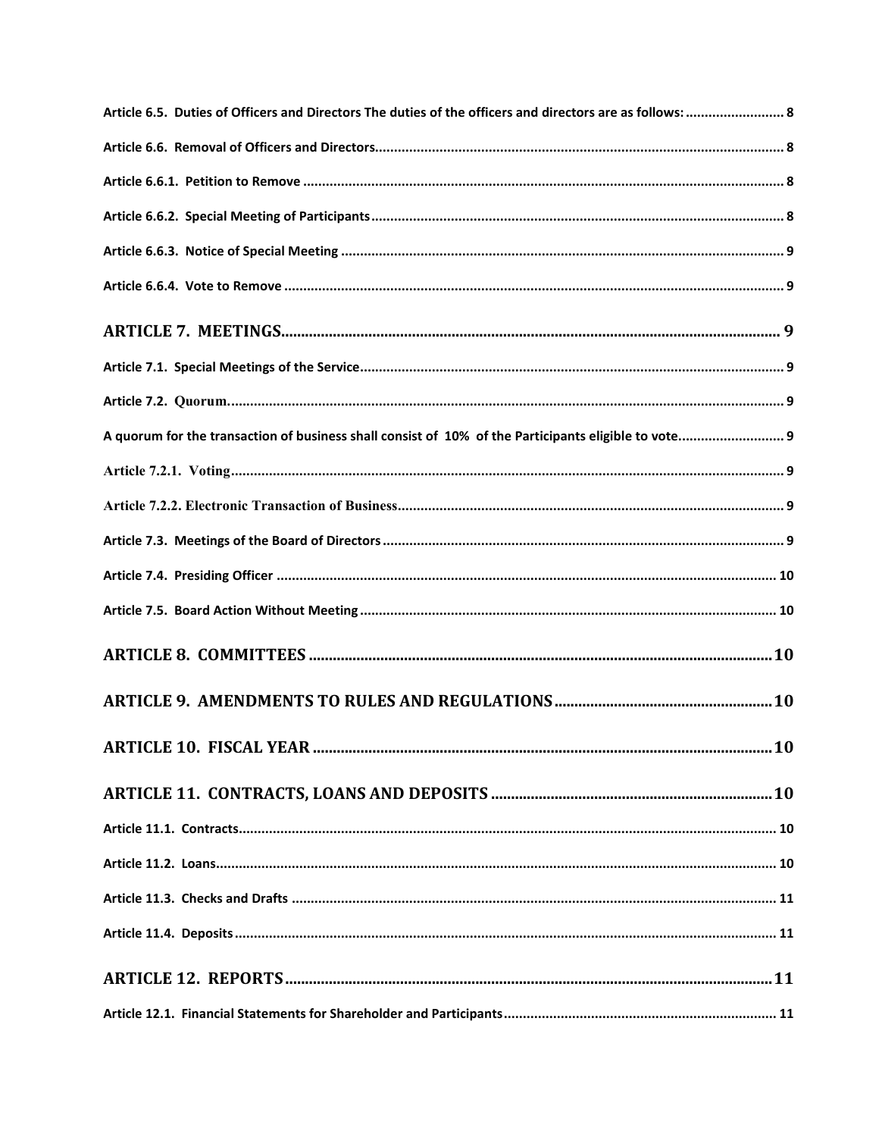| Article 6.5. Duties of Officers and Directors The duties of the officers and directors are as follows:  8 |  |
|-----------------------------------------------------------------------------------------------------------|--|
|                                                                                                           |  |
|                                                                                                           |  |
|                                                                                                           |  |
|                                                                                                           |  |
|                                                                                                           |  |
|                                                                                                           |  |
|                                                                                                           |  |
|                                                                                                           |  |
| A quorum for the transaction of business shall consist of 10% of the Participants eligible to vote 9      |  |
|                                                                                                           |  |
|                                                                                                           |  |
|                                                                                                           |  |
|                                                                                                           |  |
|                                                                                                           |  |
|                                                                                                           |  |
|                                                                                                           |  |
|                                                                                                           |  |
|                                                                                                           |  |
|                                                                                                           |  |
|                                                                                                           |  |
|                                                                                                           |  |
|                                                                                                           |  |
|                                                                                                           |  |
|                                                                                                           |  |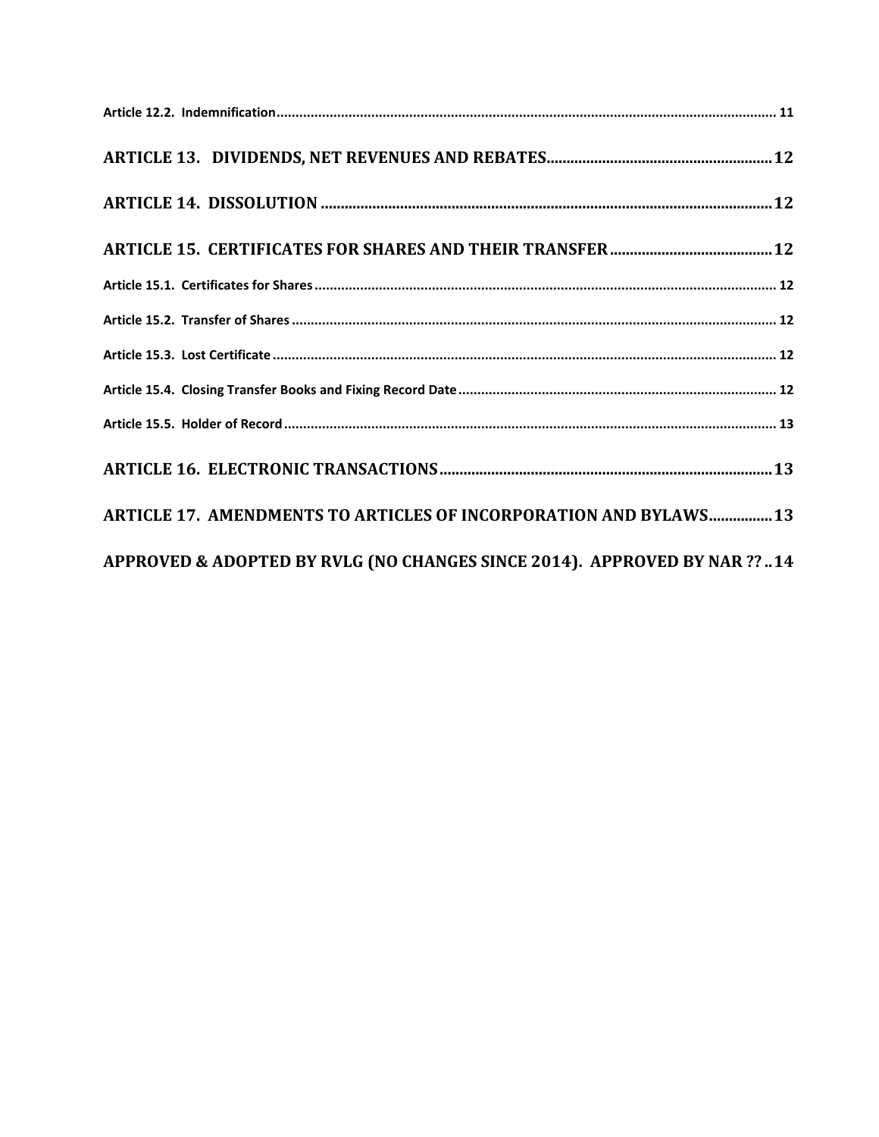| ARTICLE 17. AMENDMENTS TO ARTICLES OF INCORPORATION AND BYLAWS 13        |
|--------------------------------------------------------------------------|
| APPROVED & ADOPTED BY RVLG (NO CHANGES SINCE 2014). APPROVED BY NAR ??14 |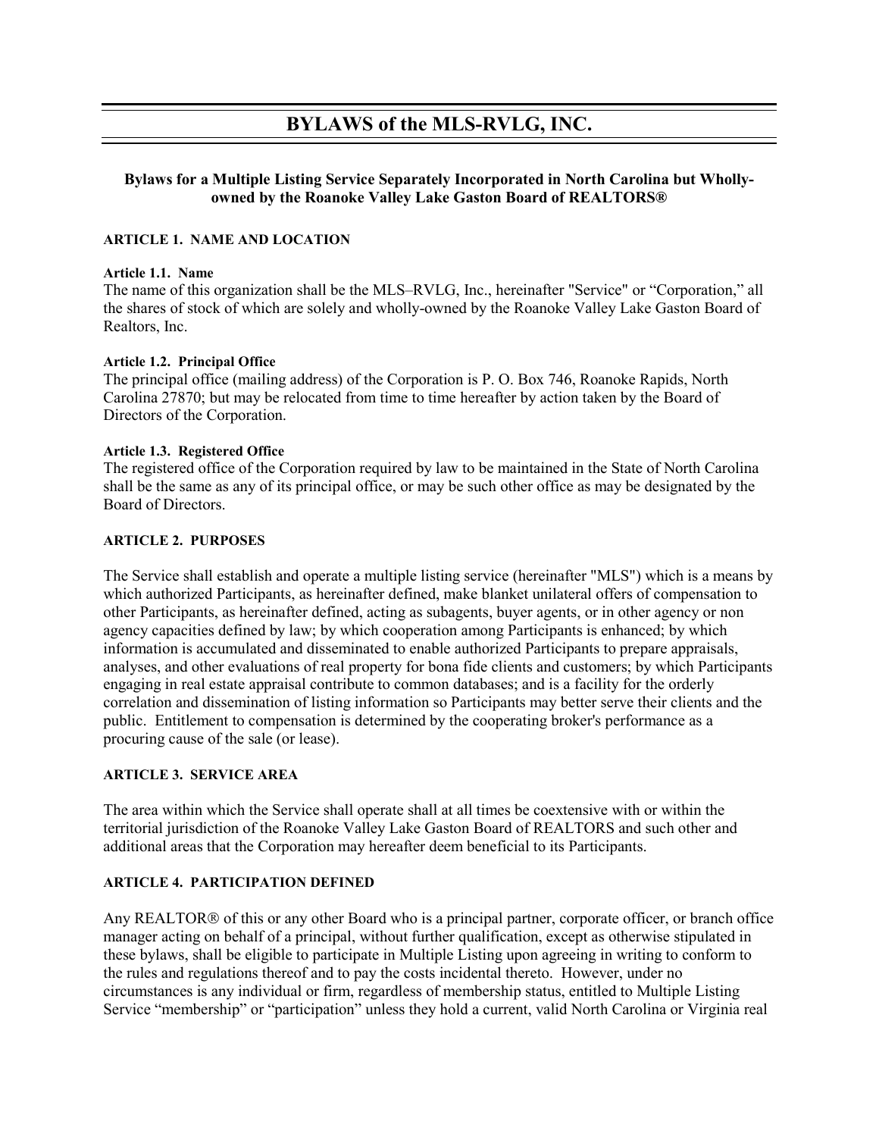## **BYLAWS of the MLS-RVLG, INC.**

### **Bylaws for a Multiple Listing Service Separately Incorporated in North Carolina but Whollyowned by the Roanoke Valley Lake Gaston Board of REALTORS®**

### <span id="page-3-0"></span>**ARTICLE 1. NAME AND LOCATION**

#### <span id="page-3-1"></span>**Article 1.1. Name**

The name of this organization shall be the MLS–RVLG, Inc., hereinafter "Service" or "Corporation," all the shares of stock of which are solely and wholly-owned by the Roanoke Valley Lake Gaston Board of Realtors, Inc.

### <span id="page-3-2"></span>**Article 1.2. Principal Office**

The principal office (mailing address) of the Corporation is P. O. Box 746, Roanoke Rapids, North Carolina 27870; but may be relocated from time to time hereafter by action taken by the Board of Directors of the Corporation.

### <span id="page-3-3"></span>**Article 1.3. Registered Office**

The registered office of the Corporation required by law to be maintained in the State of North Carolina shall be the same as any of its principal office, or may be such other office as may be designated by the Board of Directors.

### <span id="page-3-4"></span>**ARTICLE 2. PURPOSES**

The Service shall establish and operate a multiple listing service (hereinafter "MLS") which is a means by which authorized Participants, as hereinafter defined, make blanket unilateral offers of compensation to other Participants, as hereinafter defined, acting as subagents, buyer agents, or in other agency or non agency capacities defined by law; by which cooperation among Participants is enhanced; by which information is accumulated and disseminated to enable authorized Participants to prepare appraisals, analyses, and other evaluations of real property for bona fide clients and customers; by which Participants engaging in real estate appraisal contribute to common databases; and is a facility for the orderly correlation and dissemination of listing information so Participants may better serve their clients and the public. Entitlement to compensation is determined by the cooperating broker's performance as a procuring cause of the sale (or lease).

### <span id="page-3-5"></span>**ARTICLE 3. SERVICE AREA**

The area within which the Service shall operate shall at all times be coextensive with or within the territorial jurisdiction of the Roanoke Valley Lake Gaston Board of REALTORS and such other and additional areas that the Corporation may hereafter deem beneficial to its Participants.

### <span id="page-3-6"></span>**ARTICLE 4. PARTICIPATION DEFINED**

Any REALTOR<sup>®</sup> of this or any other Board who is a principal partner, corporate officer, or branch office manager acting on behalf of a principal, without further qualification, except as otherwise stipulated in these bylaws, shall be eligible to participate in Multiple Listing upon agreeing in writing to conform to the rules and regulations thereof and to pay the costs incidental thereto. However, under no circumstances is any individual or firm, regardless of membership status, entitled to Multiple Listing Service "membership" or "participation" unless they hold a current, valid North Carolina or Virginia real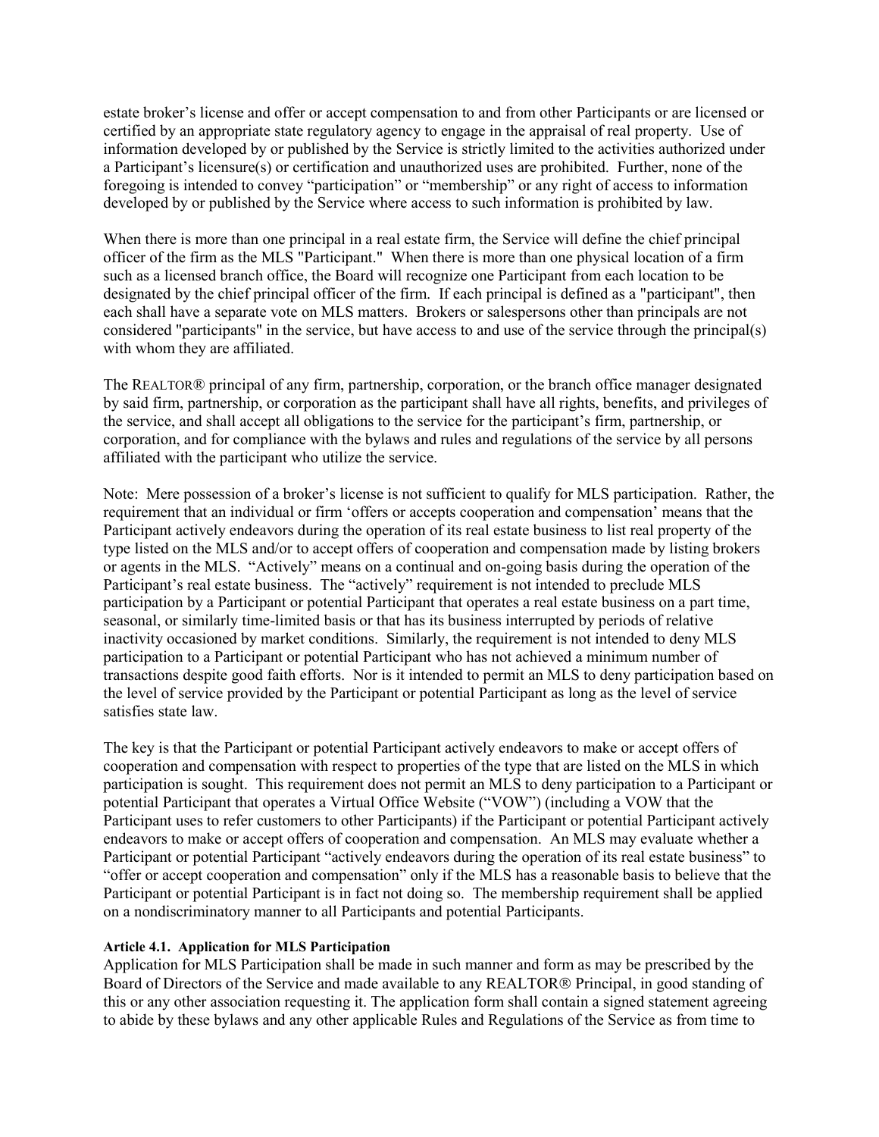estate broker's license and offer or accept compensation to and from other Participants or are licensed or certified by an appropriate state regulatory agency to engage in the appraisal of real property. Use of information developed by or published by the Service is strictly limited to the activities authorized under a Participant's licensure(s) or certification and unauthorized uses are prohibited. Further, none of the foregoing is intended to convey "participation" or "membership" or any right of access to information developed by or published by the Service where access to such information is prohibited by law.

When there is more than one principal in a real estate firm, the Service will define the chief principal officer of the firm as the MLS "Participant." When there is more than one physical location of a firm such as a licensed branch office, the Board will recognize one Participant from each location to be designated by the chief principal officer of the firm. If each principal is defined as a "participant", then each shall have a separate vote on MLS matters. Brokers or salespersons other than principals are not considered "participants" in the service, but have access to and use of the service through the principal(s) with whom they are affiliated.

The REALTOR® principal of any firm, partnership, corporation, or the branch office manager designated by said firm, partnership, or corporation as the participant shall have all rights, benefits, and privileges of the service, and shall accept all obligations to the service for the participant's firm, partnership, or corporation, and for compliance with the bylaws and rules and regulations of the service by all persons affiliated with the participant who utilize the service.

Note: Mere possession of a broker's license is not sufficient to qualify for MLS participation. Rather, the requirement that an individual or firm 'offers or accepts cooperation and compensation' means that the Participant actively endeavors during the operation of its real estate business to list real property of the type listed on the MLS and/or to accept offers of cooperation and compensation made by listing brokers or agents in the MLS. "Actively" means on a continual and on-going basis during the operation of the Participant's real estate business. The "actively" requirement is not intended to preclude MLS participation by a Participant or potential Participant that operates a real estate business on a part time, seasonal, or similarly time-limited basis or that has its business interrupted by periods of relative inactivity occasioned by market conditions. Similarly, the requirement is not intended to deny MLS participation to a Participant or potential Participant who has not achieved a minimum number of transactions despite good faith efforts. Nor is it intended to permit an MLS to deny participation based on the level of service provided by the Participant or potential Participant as long as the level of service satisfies state law.

The key is that the Participant or potential Participant actively endeavors to make or accept offers of cooperation and compensation with respect to properties of the type that are listed on the MLS in which participation is sought. This requirement does not permit an MLS to deny participation to a Participant or potential Participant that operates a Virtual Office Website ("VOW") (including a VOW that the Participant uses to refer customers to other Participants) if the Participant or potential Participant actively endeavors to make or accept offers of cooperation and compensation. An MLS may evaluate whether a Participant or potential Participant "actively endeavors during the operation of its real estate business" to "offer or accept cooperation and compensation" only if the MLS has a reasonable basis to believe that the Participant or potential Participant is in fact not doing so. The membership requirement shall be applied on a nondiscriminatory manner to all Participants and potential Participants.

### <span id="page-4-0"></span>**Article 4.1. Application for MLS Participation**

Application for MLS Participation shall be made in such manner and form as may be prescribed by the Board of Directors of the Service and made available to any REALTOR<sup>®</sup> Principal, in good standing of this or any other association requesting it. The application form shall contain a signed statement agreeing to abide by these bylaws and any other applicable Rules and Regulations of the Service as from time to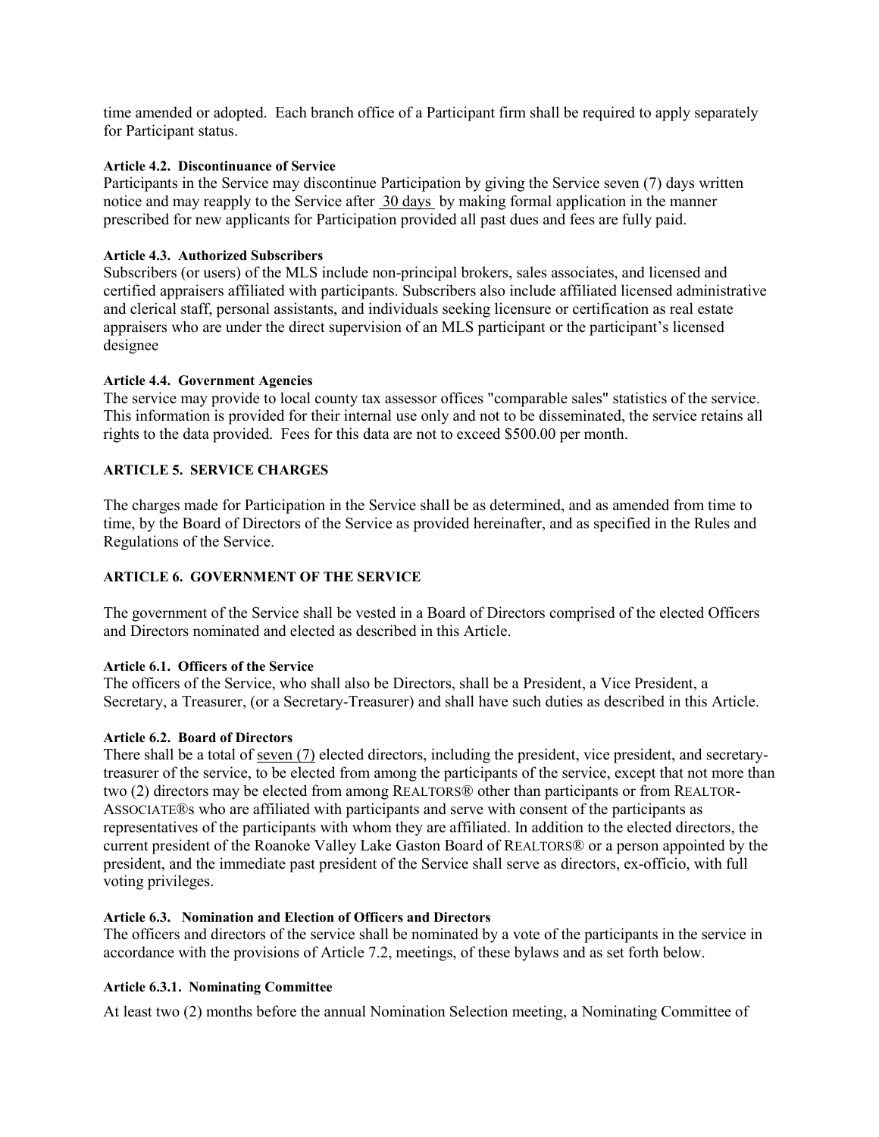time amended or adopted. Each branch office of a Participant firm shall be required to apply separately for Participant status.

### <span id="page-5-0"></span>**Article 4.2. Discontinuance of Service**

Participants in the Service may discontinue Participation by giving the Service seven (7) days written notice and may reapply to the Service after 30 days by making formal application in the manner prescribed for new applicants for Participation provided all past dues and fees are fully paid.

### <span id="page-5-1"></span>**Article 4.3. Authorized Subscribers**

Subscribers (or users) of the MLS include non-principal brokers, sales associates, and licensed and certified appraisers affiliated with participants. Subscribers also include affiliated licensed administrative and clerical staff, personal assistants, and individuals seeking licensure or certification as real estate appraisers who are under the direct supervision of an MLS participant or the participant's licensed designee

### <span id="page-5-2"></span>**Article 4.4. Government Agencies**

The service may provide to local county tax assessor offices "comparable sales" statistics of the service. This information is provided for their internal use only and not to be disseminated, the service retains all rights to the data provided. Fees for this data are not to exceed \$500.00 per month.

### <span id="page-5-3"></span>**ARTICLE 5. SERVICE CHARGES**

The charges made for Participation in the Service shall be as determined, and as amended from time to time, by the Board of Directors of the Service as provided hereinafter, and as specified in the Rules and Regulations of the Service.

### <span id="page-5-4"></span>**ARTICLE 6. GOVERNMENT OF THE SERVICE**

The government of the Service shall be vested in a Board of Directors comprised of the elected Officers and Directors nominated and elected as described in this Article.

### <span id="page-5-5"></span>**Article 6.1. Officers of the Service**

The officers of the Service, who shall also be Directors, shall be a President, a Vice President, a Secretary, a Treasurer, (or a Secretary-Treasurer) and shall have such duties as described in this Article.

### <span id="page-5-6"></span>**Article 6.2. Board of Directors**

There shall be a total of seven (7) elected directors, including the president, vice president, and secretarytreasurer of the service, to be elected from among the participants of the service, except that not more than two (2) directors may be elected from among REALTORS® other than participants or from REALTOR-ASSOCIATE®s who are affiliated with participants and serve with consent of the participants as representatives of the participants with whom they are affiliated. In addition to the elected directors, the current president of the Roanoke Valley Lake Gaston Board of REALTORS® or a person appointed by the president, and the immediate past president of the Service shall serve as directors, ex-officio, with full voting privileges.

### <span id="page-5-7"></span>**Article 6.3. Nomination and Election of Officers and Directors**

The officers and directors of the service shall be nominated by a vote of the participants in the service in accordance with the provisions of Article 7.2, meetings, of these bylaws and as set forth below.

### <span id="page-5-8"></span>**Article 6.3.1. Nominating Committee**

At least two (2) months before the annual Nomination Selection meeting, a Nominating Committee of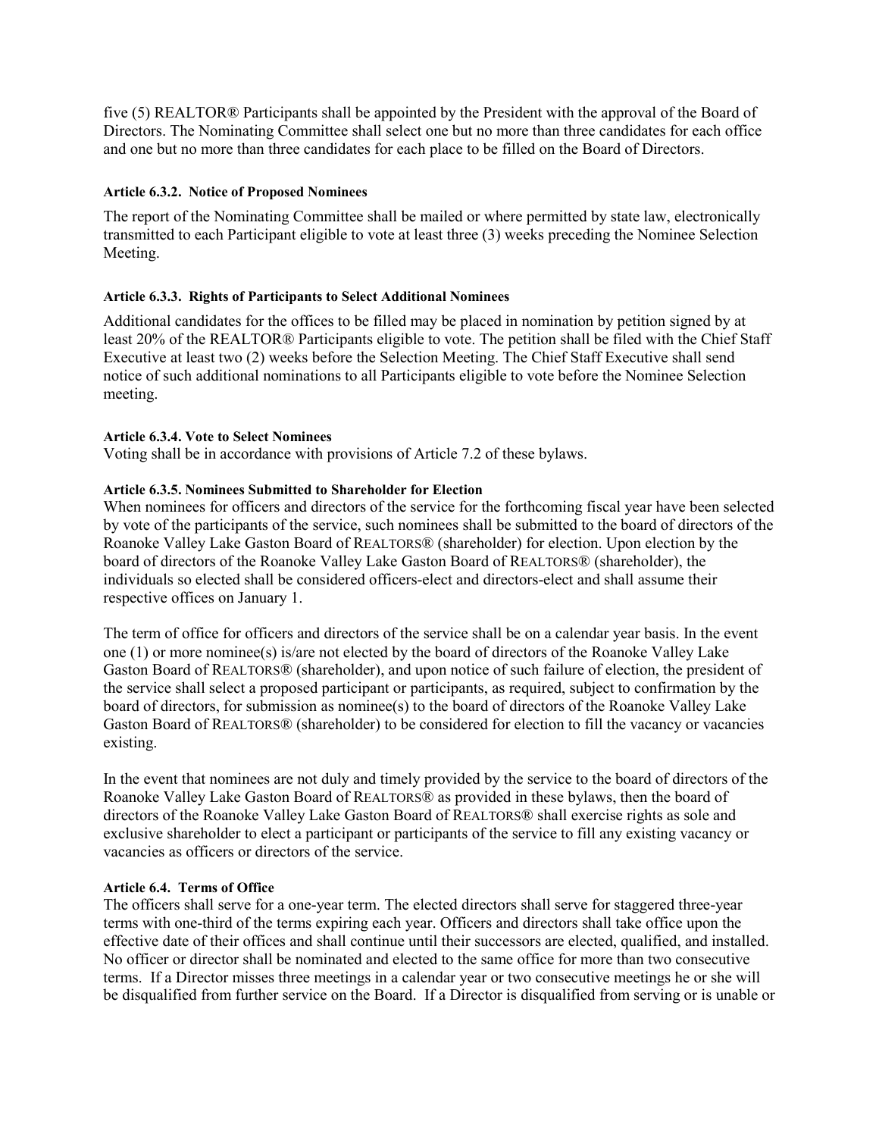five (5) REALTOR® Participants shall be appointed by the President with the approval of the Board of Directors. The Nominating Committee shall select one but no more than three candidates for each office and one but no more than three candidates for each place to be filled on the Board of Directors.

### <span id="page-6-0"></span>**Article 6.3.2. Notice of Proposed Nominees**

The report of the Nominating Committee shall be mailed or where permitted by state law, electronically transmitted to each Participant eligible to vote at least three (3) weeks preceding the Nominee Selection Meeting.

### <span id="page-6-1"></span>**Article 6.3.3. Rights of Participants to Select Additional Nominees**

Additional candidates for the offices to be filled may be placed in nomination by petition signed by at least 20% of the REALTOR® Participants eligible to vote. The petition shall be filed with the Chief Staff Executive at least two (2) weeks before the Selection Meeting. The Chief Staff Executive shall send notice of such additional nominations to all Participants eligible to vote before the Nominee Selection meeting.

### <span id="page-6-2"></span>**Article 6.3.4. Vote to Select Nominees**

Voting shall be in accordance with provisions of Article 7.2 of these bylaws.

### <span id="page-6-3"></span>**Article 6.3.5. Nominees Submitted to Shareholder for Election**

When nominees for officers and directors of the service for the forthcoming fiscal year have been selected by vote of the participants of the service, such nominees shall be submitted to the board of directors of the Roanoke Valley Lake Gaston Board of REALTORS® (shareholder) for election. Upon election by the board of directors of the Roanoke Valley Lake Gaston Board of REALTORS® (shareholder), the individuals so elected shall be considered officers-elect and directors-elect and shall assume their respective offices on January 1.

The term of office for officers and directors of the service shall be on a calendar year basis. In the event one (1) or more nominee(s) is/are not elected by the board of directors of the Roanoke Valley Lake Gaston Board of REALTORS® (shareholder), and upon notice of such failure of election, the president of the service shall select a proposed participant or participants, as required, subject to confirmation by the board of directors, for submission as nominee(s) to the board of directors of the Roanoke Valley Lake Gaston Board of REALTORS® (shareholder) to be considered for election to fill the vacancy or vacancies existing.

In the event that nominees are not duly and timely provided by the service to the board of directors of the Roanoke Valley Lake Gaston Board of REALTORS® as provided in these bylaws, then the board of directors of the Roanoke Valley Lake Gaston Board of REALTORS® shall exercise rights as sole and exclusive shareholder to elect a participant or participants of the service to fill any existing vacancy or vacancies as officers or directors of the service.

### <span id="page-6-4"></span>**Article 6.4. Terms of Office**

The officers shall serve for a one-year term. The elected directors shall serve for staggered three-year terms with one-third of the terms expiring each year. Officers and directors shall take office upon the effective date of their offices and shall continue until their successors are elected, qualified, and installed. No officer or director shall be nominated and elected to the same office for more than two consecutive terms. If a Director misses three meetings in a calendar year or two consecutive meetings he or she will be disqualified from further service on the Board. If a Director is disqualified from serving or is unable or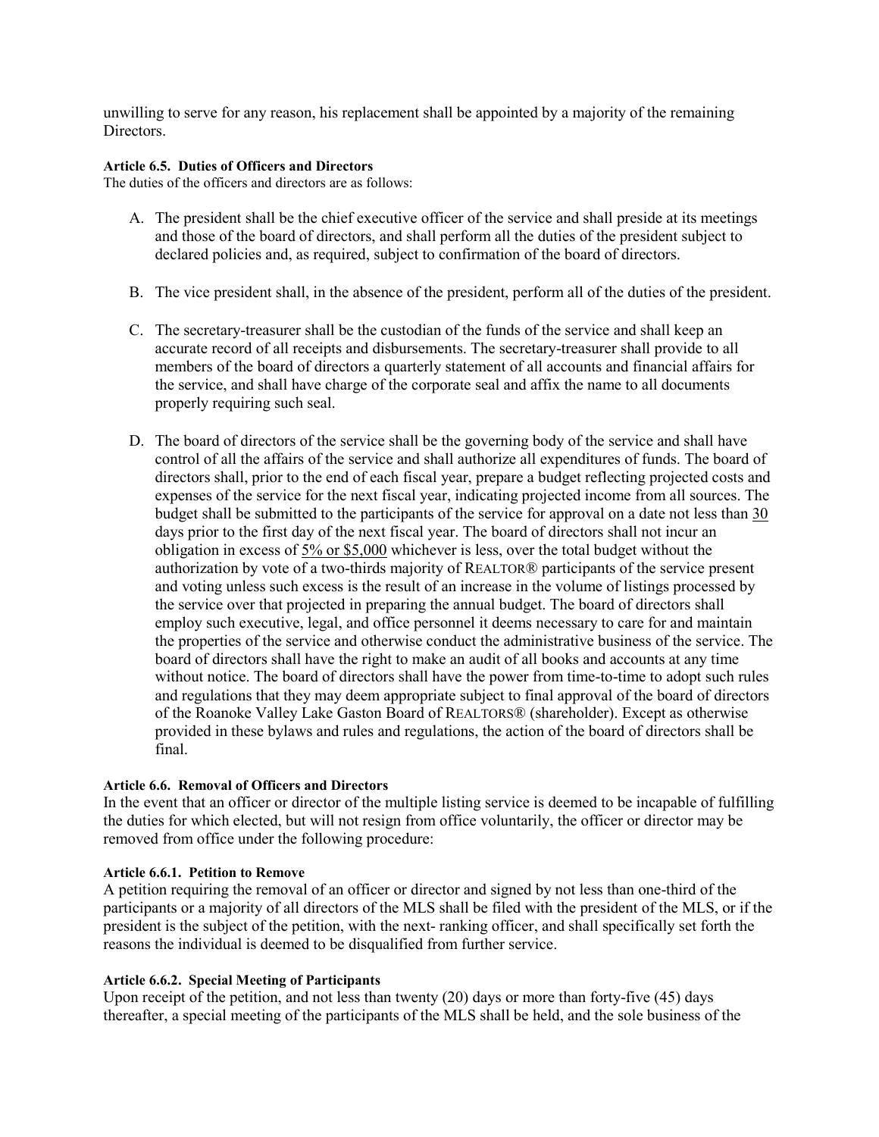unwilling to serve for any reason, his replacement shall be appointed by a majority of the remaining Directors.

### <span id="page-7-0"></span>**Article 6.5. Duties of Officers and Directors**

The duties of the officers and directors are as follows:

- A. The president shall be the chief executive officer of the service and shall preside at its meetings and those of the board of directors, and shall perform all the duties of the president subject to declared policies and, as required, subject to confirmation of the board of directors.
- B. The vice president shall, in the absence of the president, perform all of the duties of the president.
- C. The secretary-treasurer shall be the custodian of the funds of the service and shall keep an accurate record of all receipts and disbursements. The secretary-treasurer shall provide to all members of the board of directors a quarterly statement of all accounts and financial affairs for the service, and shall have charge of the corporate seal and affix the name to all documents properly requiring such seal.
- D. The board of directors of the service shall be the governing body of the service and shall have control of all the affairs of the service and shall authorize all expenditures of funds. The board of directors shall, prior to the end of each fiscal year, prepare a budget reflecting projected costs and expenses of the service for the next fiscal year, indicating projected income from all sources. The budget shall be submitted to the participants of the service for approval on a date not less than 30 days prior to the first day of the next fiscal year. The board of directors shall not incur an obligation in excess of 5% or \$5,000 whichever is less, over the total budget without the authorization by vote of a two-thirds majority of REALTOR® participants of the service present and voting unless such excess is the result of an increase in the volume of listings processed by the service over that projected in preparing the annual budget. The board of directors shall employ such executive, legal, and office personnel it deems necessary to care for and maintain the properties of the service and otherwise conduct the administrative business of the service. The board of directors shall have the right to make an audit of all books and accounts at any time without notice. The board of directors shall have the power from time-to-time to adopt such rules and regulations that they may deem appropriate subject to final approval of the board of directors of the Roanoke Valley Lake Gaston Board of REALTORS® (shareholder). Except as otherwise provided in these bylaws and rules and regulations, the action of the board of directors shall be final.

### <span id="page-7-1"></span>**Article 6.6. Removal of Officers and Directors**

In the event that an officer or director of the multiple listing service is deemed to be incapable of fulfilling the duties for which elected, but will not resign from office voluntarily, the officer or director may be removed from office under the following procedure:

### <span id="page-7-2"></span>**Article 6.6.1. Petition to Remove**

A petition requiring the removal of an officer or director and signed by not less than one-third of the participants or a majority of all directors of the MLS shall be filed with the president of the MLS, or if the president is the subject of the petition, with the next- ranking officer, and shall specifically set forth the reasons the individual is deemed to be disqualified from further service.

### <span id="page-7-3"></span>**Article 6.6.2. Special Meeting of Participants**

Upon receipt of the petition, and not less than twenty (20) days or more than forty-five (45) days thereafter, a special meeting of the participants of the MLS shall be held, and the sole business of the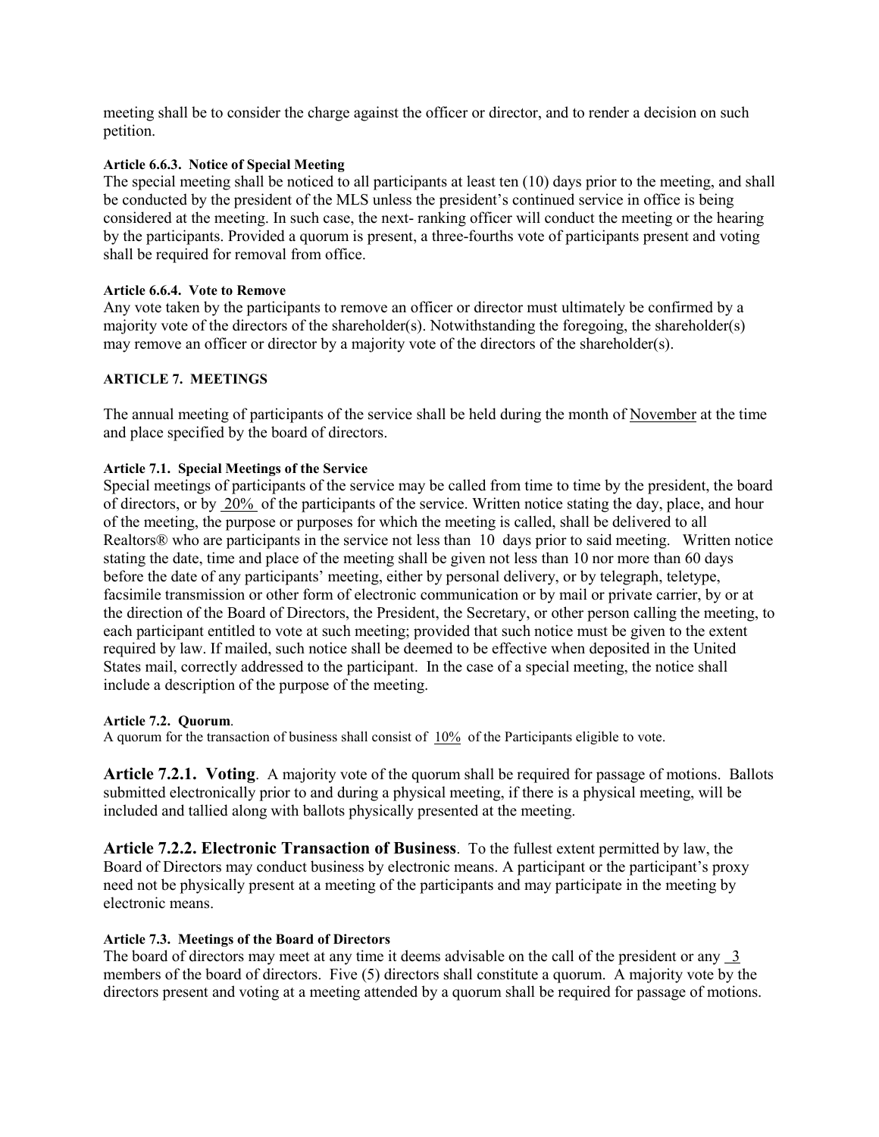meeting shall be to consider the charge against the officer or director, and to render a decision on such petition.

### <span id="page-8-0"></span>**Article 6.6.3. Notice of Special Meeting**

The special meeting shall be noticed to all participants at least ten (10) days prior to the meeting, and shall be conducted by the president of the MLS unless the president's continued service in office is being considered at the meeting. In such case, the next- ranking officer will conduct the meeting or the hearing by the participants. Provided a quorum is present, a three-fourths vote of participants present and voting shall be required for removal from office.

### <span id="page-8-1"></span>**Article 6.6.4. Vote to Remove**

Any vote taken by the participants to remove an officer or director must ultimately be confirmed by a majority vote of the directors of the shareholder(s). Notwithstanding the foregoing, the shareholder(s) may remove an officer or director by a majority vote of the directors of the shareholder(s).

### <span id="page-8-2"></span>**ARTICLE 7. MEETINGS**

The annual meeting of participants of the service shall be held during the month of November at the time and place specified by the board of directors.

### <span id="page-8-3"></span>**Article 7.1. Special Meetings of the Service**

Special meetings of participants of the service may be called from time to time by the president, the board of directors, or by 20% of the participants of the service. Written notice stating the day, place, and hour of the meeting, the purpose or purposes for which the meeting is called, shall be delivered to all Realtors® who are participants in the service not less than 10 days prior to said meeting. Written notice stating the date, time and place of the meeting shall be given not less than 10 nor more than 60 days before the date of any participants' meeting, either by personal delivery, or by telegraph, teletype, facsimile transmission or other form of electronic communication or by mail or private carrier, by or at the direction of the Board of Directors, the President, the Secretary, or other person calling the meeting, to each participant entitled to vote at such meeting; provided that such notice must be given to the extent required by law. If mailed, such notice shall be deemed to be effective when deposited in the United States mail, correctly addressed to the participant. In the case of a special meeting, the notice shall include a description of the purpose of the meeting.

### <span id="page-8-4"></span>**Article 7.2. Quorum**.

<span id="page-8-5"></span>A quorum for the transaction of business shall consist of 10% of the Participants eligible to vote.

<span id="page-8-6"></span>**Article 7.2.1. Voting**. A majority vote of the quorum shall be required for passage of motions. Ballots submitted electronically prior to and during a physical meeting, if there is a physical meeting, will be included and tallied along with ballots physically presented at the meeting.

<span id="page-8-7"></span>**Article 7.2.2. Electronic Transaction of Business**. To the fullest extent permitted by law, the Board of Directors may conduct business by electronic means. A participant or the participant's proxy need not be physically present at a meeting of the participants and may participate in the meeting by electronic means.

### <span id="page-8-8"></span>**Article 7.3. Meetings of the Board of Directors**

The board of directors may meet at any time it deems advisable on the call of the president or any 3 members of the board of directors. Five (5) directors shall constitute a quorum. A majority vote by the directors present and voting at a meeting attended by a quorum shall be required for passage of motions.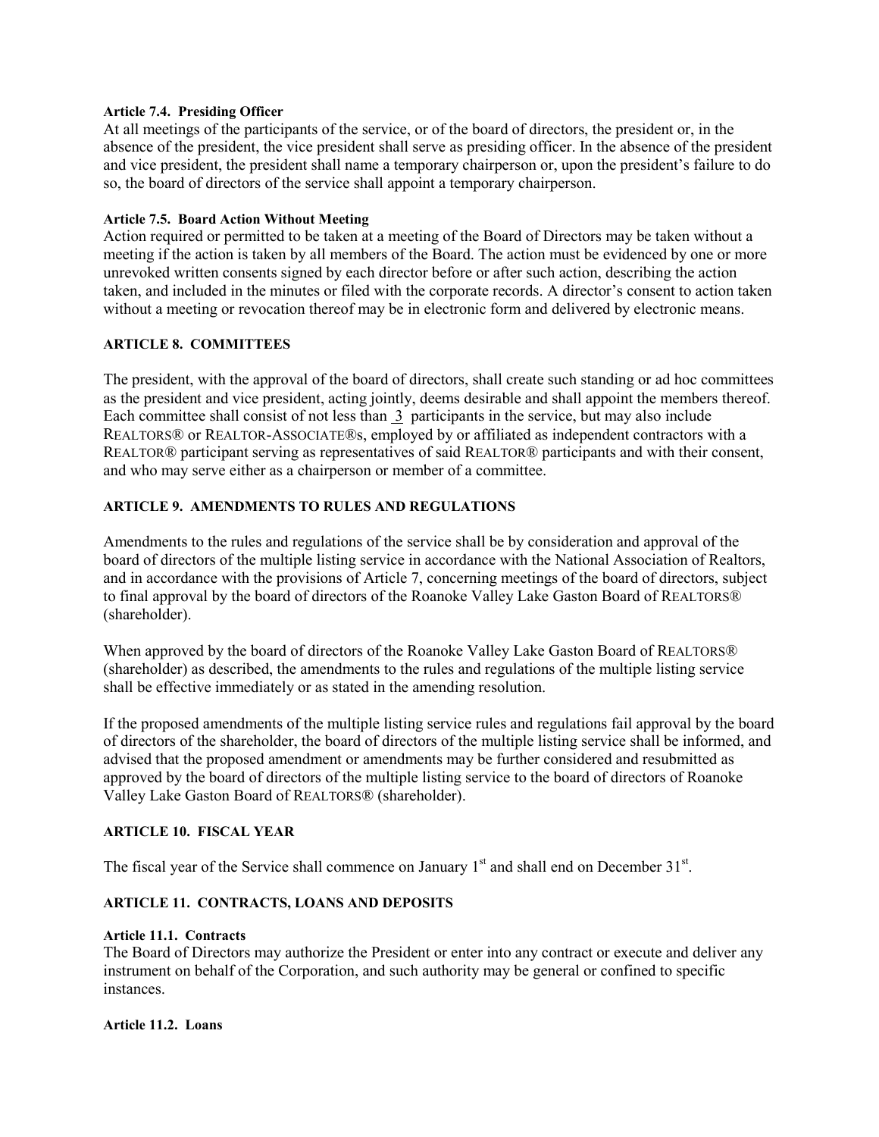### <span id="page-9-0"></span>**Article 7.4. Presiding Officer**

At all meetings of the participants of the service, or of the board of directors, the president or, in the absence of the president, the vice president shall serve as presiding officer. In the absence of the president and vice president, the president shall name a temporary chairperson or, upon the president's failure to do so, the board of directors of the service shall appoint a temporary chairperson.

### <span id="page-9-1"></span>**Article 7.5. Board Action Without Meeting**

Action required or permitted to be taken at a meeting of the Board of Directors may be taken without a meeting if the action is taken by all members of the Board. The action must be evidenced by one or more unrevoked written consents signed by each director before or after such action, describing the action taken, and included in the minutes or filed with the corporate records. A director's consent to action taken without a meeting or revocation thereof may be in electronic form and delivered by electronic means.

### <span id="page-9-2"></span>**ARTICLE 8. COMMITTEES**

The president, with the approval of the board of directors, shall create such standing or ad hoc committees as the president and vice president, acting jointly, deems desirable and shall appoint the members thereof. Each committee shall consist of not less than 3 participants in the service, but may also include REALTORS® or REALTOR-ASSOCIATE®s, employed by or affiliated as independent contractors with a REALTOR® participant serving as representatives of said REALTOR® participants and with their consent, and who may serve either as a chairperson or member of a committee.

### <span id="page-9-3"></span>**ARTICLE 9. AMENDMENTS TO RULES AND REGULATIONS**

Amendments to the rules and regulations of the service shall be by consideration and approval of the board of directors of the multiple listing service in accordance with the National Association of Realtors, and in accordance with the provisions of Article 7, concerning meetings of the board of directors, subject to final approval by the board of directors of the Roanoke Valley Lake Gaston Board of REALTORS® (shareholder).

When approved by the board of directors of the Roanoke Valley Lake Gaston Board of REALTORS® (shareholder) as described, the amendments to the rules and regulations of the multiple listing service shall be effective immediately or as stated in the amending resolution.

If the proposed amendments of the multiple listing service rules and regulations fail approval by the board of directors of the shareholder, the board of directors of the multiple listing service shall be informed, and advised that the proposed amendment or amendments may be further considered and resubmitted as approved by the board of directors of the multiple listing service to the board of directors of Roanoke Valley Lake Gaston Board of REALTORS® (shareholder).

### <span id="page-9-4"></span>**ARTICLE 10. FISCAL YEAR**

The fiscal year of the Service shall commence on January  $1<sup>st</sup>$  and shall end on December 31 $<sup>st</sup>$ .</sup>

### <span id="page-9-5"></span>**ARTICLE 11. CONTRACTS, LOANS AND DEPOSITS**

### <span id="page-9-6"></span>**Article 11.1. Contracts**

The Board of Directors may authorize the President or enter into any contract or execute and deliver any instrument on behalf of the Corporation, and such authority may be general or confined to specific instances.

### <span id="page-9-7"></span>**Article 11.2. Loans**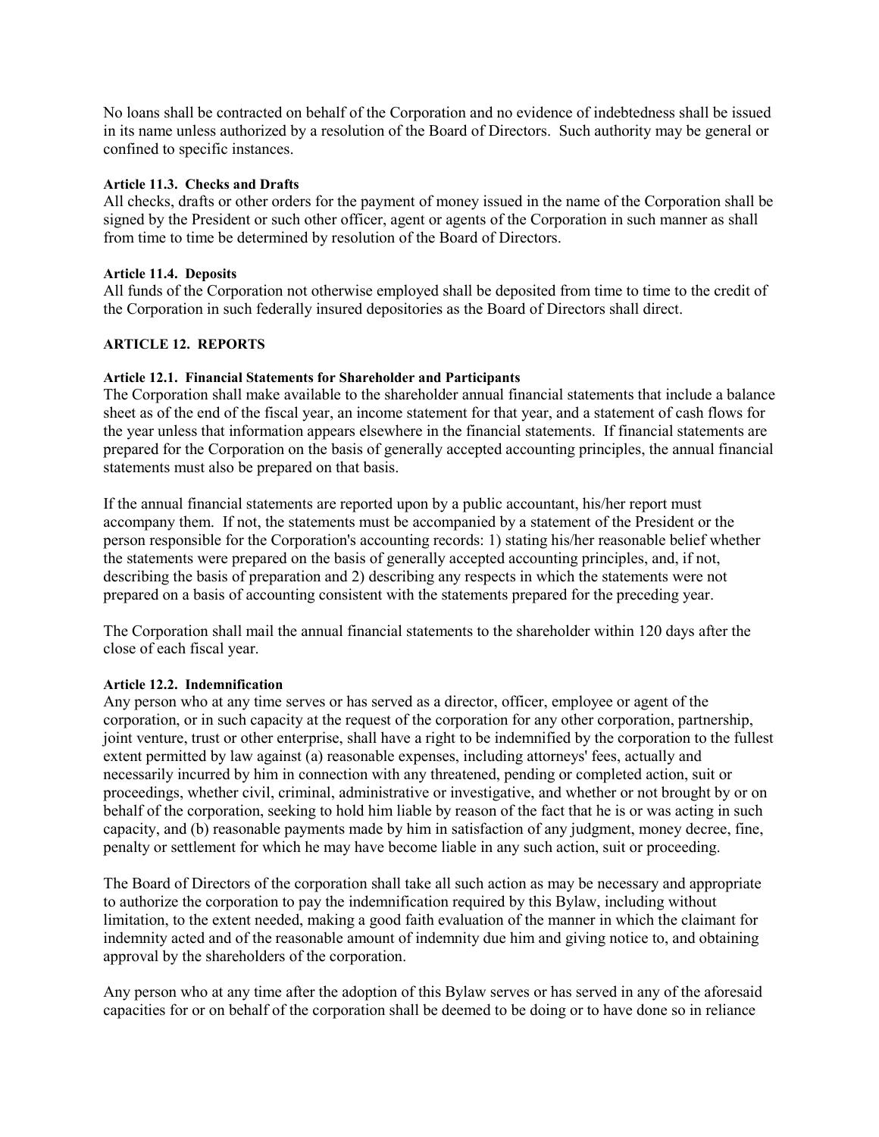No loans shall be contracted on behalf of the Corporation and no evidence of indebtedness shall be issued in its name unless authorized by a resolution of the Board of Directors. Such authority may be general or confined to specific instances.

### <span id="page-10-0"></span>**Article 11.3. Checks and Drafts**

All checks, drafts or other orders for the payment of money issued in the name of the Corporation shall be signed by the President or such other officer, agent or agents of the Corporation in such manner as shall from time to time be determined by resolution of the Board of Directors.

### <span id="page-10-1"></span>**Article 11.4. Deposits**

All funds of the Corporation not otherwise employed shall be deposited from time to time to the credit of the Corporation in such federally insured depositories as the Board of Directors shall direct.

### <span id="page-10-2"></span>**ARTICLE 12. REPORTS**

### <span id="page-10-3"></span>**Article 12.1. Financial Statements for Shareholder and Participants**

The Corporation shall make available to the shareholder annual financial statements that include a balance sheet as of the end of the fiscal year, an income statement for that year, and a statement of cash flows for the year unless that information appears elsewhere in the financial statements. If financial statements are prepared for the Corporation on the basis of generally accepted accounting principles, the annual financial statements must also be prepared on that basis.

If the annual financial statements are reported upon by a public accountant, his/her report must accompany them. If not, the statements must be accompanied by a statement of the President or the person responsible for the Corporation's accounting records: 1) stating his/her reasonable belief whether the statements were prepared on the basis of generally accepted accounting principles, and, if not, describing the basis of preparation and 2) describing any respects in which the statements were not prepared on a basis of accounting consistent with the statements prepared for the preceding year.

The Corporation shall mail the annual financial statements to the shareholder within 120 days after the close of each fiscal year.

### <span id="page-10-4"></span>**Article 12.2. Indemnification**

Any person who at any time serves or has served as a director, officer, employee or agent of the corporation, or in such capacity at the request of the corporation for any other corporation, partnership, joint venture, trust or other enterprise, shall have a right to be indemnified by the corporation to the fullest extent permitted by law against (a) reasonable expenses, including attorneys' fees, actually and necessarily incurred by him in connection with any threatened, pending or completed action, suit or proceedings, whether civil, criminal, administrative or investigative, and whether or not brought by or on behalf of the corporation, seeking to hold him liable by reason of the fact that he is or was acting in such capacity, and (b) reasonable payments made by him in satisfaction of any judgment, money decree, fine, penalty or settlement for which he may have become liable in any such action, suit or proceeding.

The Board of Directors of the corporation shall take all such action as may be necessary and appropriate to authorize the corporation to pay the indemnification required by this Bylaw, including without limitation, to the extent needed, making a good faith evaluation of the manner in which the claimant for indemnity acted and of the reasonable amount of indemnity due him and giving notice to, and obtaining approval by the shareholders of the corporation.

Any person who at any time after the adoption of this Bylaw serves or has served in any of the aforesaid capacities for or on behalf of the corporation shall be deemed to be doing or to have done so in reliance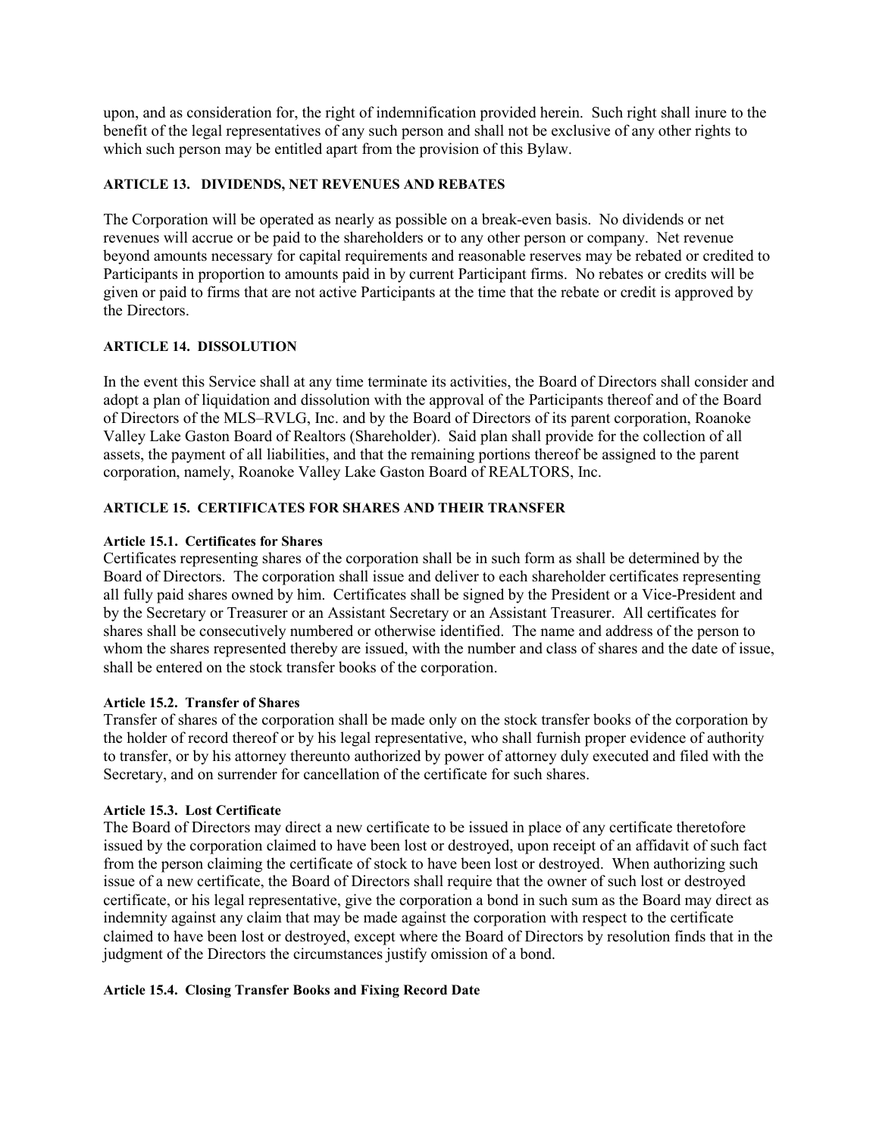upon, and as consideration for, the right of indemnification provided herein. Such right shall inure to the benefit of the legal representatives of any such person and shall not be exclusive of any other rights to which such person may be entitled apart from the provision of this Bylaw.

### <span id="page-11-0"></span>**ARTICLE 13. DIVIDENDS, NET REVENUES AND REBATES**

The Corporation will be operated as nearly as possible on a break-even basis. No dividends or net revenues will accrue or be paid to the shareholders or to any other person or company. Net revenue beyond amounts necessary for capital requirements and reasonable reserves may be rebated or credited to Participants in proportion to amounts paid in by current Participant firms. No rebates or credits will be given or paid to firms that are not active Participants at the time that the rebate or credit is approved by the Directors.

### <span id="page-11-1"></span>**ARTICLE 14. DISSOLUTION**

In the event this Service shall at any time terminate its activities, the Board of Directors shall consider and adopt a plan of liquidation and dissolution with the approval of the Participants thereof and of the Board of Directors of the MLS–RVLG, Inc. and by the Board of Directors of its parent corporation, Roanoke Valley Lake Gaston Board of Realtors (Shareholder). Said plan shall provide for the collection of all assets, the payment of all liabilities, and that the remaining portions thereof be assigned to the parent corporation, namely, Roanoke Valley Lake Gaston Board of REALTORS, Inc.

### <span id="page-11-2"></span>**ARTICLE 15. CERTIFICATES FOR SHARES AND THEIR TRANSFER**

### <span id="page-11-3"></span>**Article 15.1. Certificates for Shares**

Certificates representing shares of the corporation shall be in such form as shall be determined by the Board of Directors. The corporation shall issue and deliver to each shareholder certificates representing all fully paid shares owned by him. Certificates shall be signed by the President or a Vice-President and by the Secretary or Treasurer or an Assistant Secretary or an Assistant Treasurer. All certificates for shares shall be consecutively numbered or otherwise identified. The name and address of the person to whom the shares represented thereby are issued, with the number and class of shares and the date of issue, shall be entered on the stock transfer books of the corporation.

### <span id="page-11-4"></span>**Article 15.2. Transfer of Shares**

Transfer of shares of the corporation shall be made only on the stock transfer books of the corporation by the holder of record thereof or by his legal representative, who shall furnish proper evidence of authority to transfer, or by his attorney thereunto authorized by power of attorney duly executed and filed with the Secretary, and on surrender for cancellation of the certificate for such shares.

### <span id="page-11-5"></span>**Article 15.3. Lost Certificate**

The Board of Directors may direct a new certificate to be issued in place of any certificate theretofore issued by the corporation claimed to have been lost or destroyed, upon receipt of an affidavit of such fact from the person claiming the certificate of stock to have been lost or destroyed. When authorizing such issue of a new certificate, the Board of Directors shall require that the owner of such lost or destroyed certificate, or his legal representative, give the corporation a bond in such sum as the Board may direct as indemnity against any claim that may be made against the corporation with respect to the certificate claimed to have been lost or destroyed, except where the Board of Directors by resolution finds that in the judgment of the Directors the circumstances justify omission of a bond.

### <span id="page-11-6"></span>**Article 15.4. Closing Transfer Books and Fixing Record Date**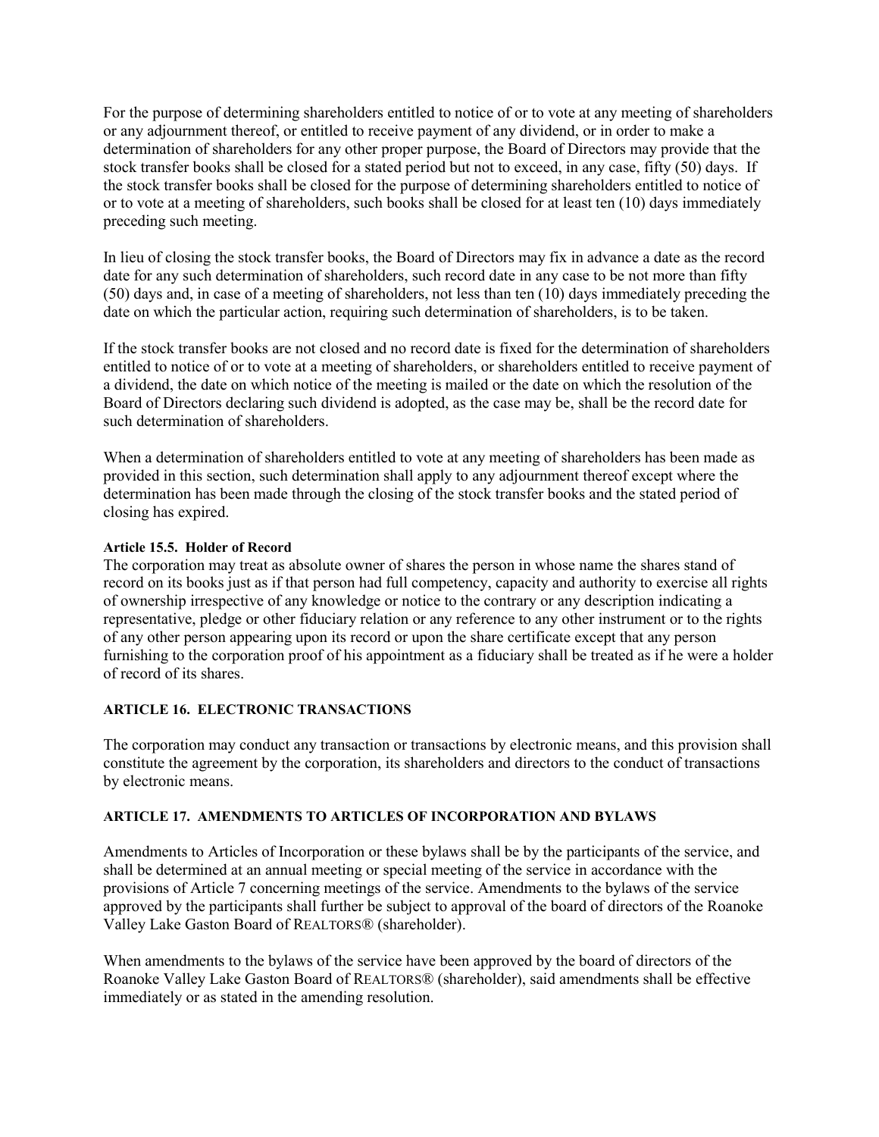For the purpose of determining shareholders entitled to notice of or to vote at any meeting of shareholders or any adjournment thereof, or entitled to receive payment of any dividend, or in order to make a determination of shareholders for any other proper purpose, the Board of Directors may provide that the stock transfer books shall be closed for a stated period but not to exceed, in any case, fifty (50) days. If the stock transfer books shall be closed for the purpose of determining shareholders entitled to notice of or to vote at a meeting of shareholders, such books shall be closed for at least ten (10) days immediately preceding such meeting.

In lieu of closing the stock transfer books, the Board of Directors may fix in advance a date as the record date for any such determination of shareholders, such record date in any case to be not more than fifty (50) days and, in case of a meeting of shareholders, not less than ten (10) days immediately preceding the date on which the particular action, requiring such determination of shareholders, is to be taken.

If the stock transfer books are not closed and no record date is fixed for the determination of shareholders entitled to notice of or to vote at a meeting of shareholders, or shareholders entitled to receive payment of a dividend, the date on which notice of the meeting is mailed or the date on which the resolution of the Board of Directors declaring such dividend is adopted, as the case may be, shall be the record date for such determination of shareholders.

When a determination of shareholders entitled to vote at any meeting of shareholders has been made as provided in this section, such determination shall apply to any adjournment thereof except where the determination has been made through the closing of the stock transfer books and the stated period of closing has expired.

### <span id="page-12-0"></span>**Article 15.5. Holder of Record**

The corporation may treat as absolute owner of shares the person in whose name the shares stand of record on its books just as if that person had full competency, capacity and authority to exercise all rights of ownership irrespective of any knowledge or notice to the contrary or any description indicating a representative, pledge or other fiduciary relation or any reference to any other instrument or to the rights of any other person appearing upon its record or upon the share certificate except that any person furnishing to the corporation proof of his appointment as a fiduciary shall be treated as if he were a holder of record of its shares.

### <span id="page-12-1"></span>**ARTICLE 16. ELECTRONIC TRANSACTIONS**

The corporation may conduct any transaction or transactions by electronic means, and this provision shall constitute the agreement by the corporation, its shareholders and directors to the conduct of transactions by electronic means.

### <span id="page-12-2"></span>**ARTICLE 17. AMENDMENTS TO ARTICLES OF INCORPORATION AND BYLAWS**

Amendments to Articles of Incorporation or these bylaws shall be by the participants of the service, and shall be determined at an annual meeting or special meeting of the service in accordance with the provisions of Article 7 concerning meetings of the service. Amendments to the bylaws of the service approved by the participants shall further be subject to approval of the board of directors of the Roanoke Valley Lake Gaston Board of REALTORS® (shareholder).

When amendments to the bylaws of the service have been approved by the board of directors of the Roanoke Valley Lake Gaston Board of REALTORS® (shareholder), said amendments shall be effective immediately or as stated in the amending resolution.